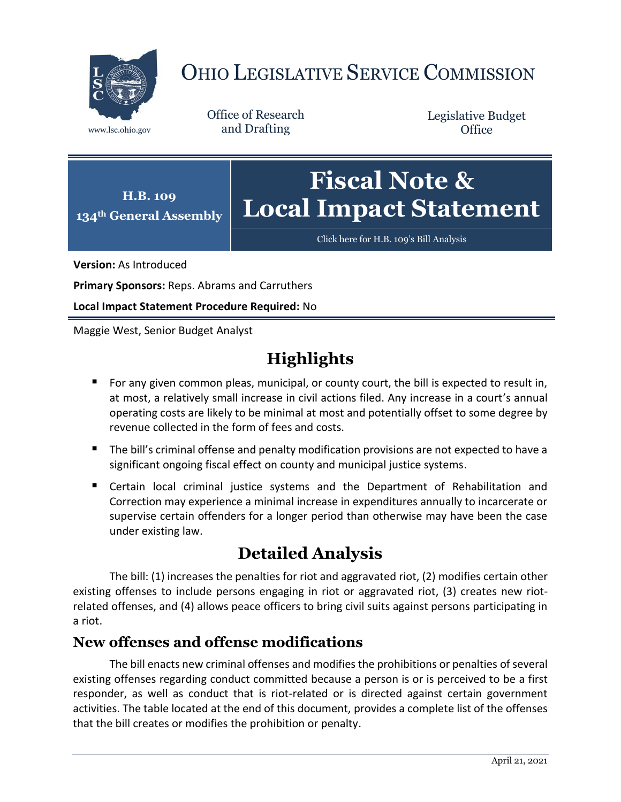

# OHIO LEGISLATIVE SERVICE COMMISSION

Office of Research www.lsc.ohio.gov and Drafting

Legislative Budget **Office** 



[Click here for H.B. 109](https://www.legislature.ohio.gov/legislation/legislation-documents?id=GA134-HB-109)'s Bill Analysis

**Version:** As Introduced

**Primary Sponsors:** Reps. Abrams and Carruthers

**Local Impact Statement Procedure Required:** No

Maggie West, Senior Budget Analyst

# **Highlights**

- **For any given common pleas, municipal, or county court, the bill is expected to result in,** at most, a relatively small increase in civil actions filed. Any increase in a court's annual operating costs are likely to be minimal at most and potentially offset to some degree by revenue collected in the form of fees and costs.
- The bill's criminal offense and penalty modification provisions are not expected to have a significant ongoing fiscal effect on county and municipal justice systems.
- Certain local criminal justice systems and the Department of Rehabilitation and Correction may experience a minimal increase in expenditures annually to incarcerate or supervise certain offenders for a longer period than otherwise may have been the case under existing law.

## **Detailed Analysis**

The bill: (1) increases the penalties for riot and aggravated riot, (2) modifies certain other existing offenses to include persons engaging in riot or aggravated riot, (3) creates new riotrelated offenses, and (4) allows peace officers to bring civil suits against persons participating in a riot.

### **New offenses and offense modifications**

The bill enacts new criminal offenses and modifies the prohibitions or penalties of several existing offenses regarding conduct committed because a person is or is perceived to be a first responder, as well as conduct that is riot-related or is directed against certain government activities. The table located at the end of this document, provides a complete list of the offenses that the bill creates or modifies the prohibition or penalty.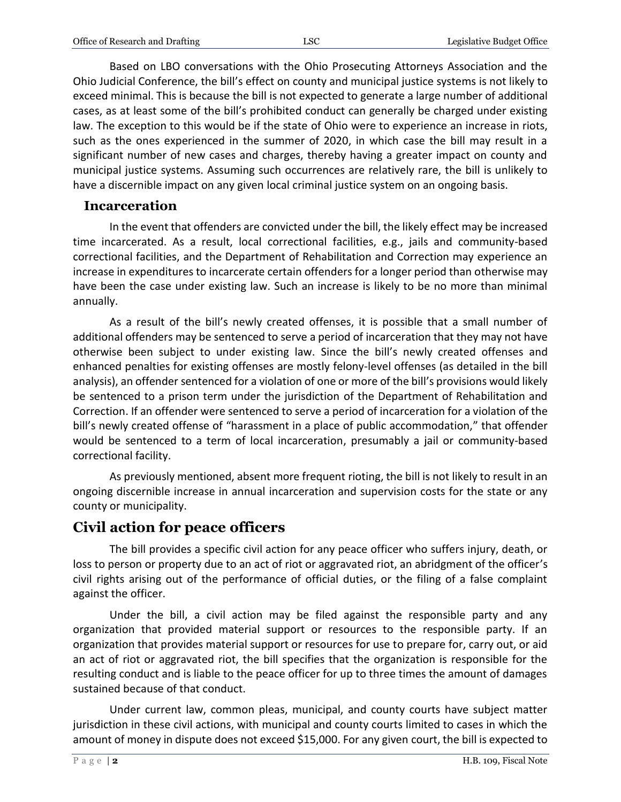Based on LBO conversations with the Ohio Prosecuting Attorneys Association and the Ohio Judicial Conference, the bill's effect on county and municipal justice systems is not likely to exceed minimal. This is because the bill is not expected to generate a large number of additional cases, as at least some of the bill's prohibited conduct can generally be charged under existing law. The exception to this would be if the state of Ohio were to experience an increase in riots, such as the ones experienced in the summer of 2020, in which case the bill may result in a significant number of new cases and charges, thereby having a greater impact on county and municipal justice systems. Assuming such occurrences are relatively rare, the bill is unlikely to have a discernible impact on any given local criminal justice system on an ongoing basis.

#### **Incarceration**

In the event that offenders are convicted under the bill, the likely effect may be increased time incarcerated. As a result, local correctional facilities, e.g., jails and community-based correctional facilities, and the Department of Rehabilitation and Correction may experience an increase in expenditures to incarcerate certain offenders for a longer period than otherwise may have been the case under existing law. Such an increase is likely to be no more than minimal annually.

As a result of the bill's newly created offenses, it is possible that a small number of additional offenders may be sentenced to serve a period of incarceration that they may not have otherwise been subject to under existing law. Since the bill's newly created offenses and enhanced penalties for existing offenses are mostly felony-level offenses (as detailed in the bill analysis), an offender sentenced for a violation of one or more of the bill's provisions would likely be sentenced to a prison term under the jurisdiction of the Department of Rehabilitation and Correction. If an offender were sentenced to serve a period of incarceration for a violation of the bill's newly created offense of "harassment in a place of public accommodation," that offender would be sentenced to a term of local incarceration, presumably a jail or community-based correctional facility.

As previously mentioned, absent more frequent rioting, the bill is not likely to result in an ongoing discernible increase in annual incarceration and supervision costs for the state or any county or municipality.

### **Civil action for peace officers**

The bill provides a specific civil action for any peace officer who suffers injury, death, or loss to person or property due to an act of riot or aggravated riot, an abridgment of the officer's civil rights arising out of the performance of official duties, or the filing of a false complaint against the officer.

Under the bill, a civil action may be filed against the responsible party and any organization that provided material support or resources to the responsible party. If an organization that provides material support or resources for use to prepare for, carry out, or aid an act of riot or aggravated riot, the bill specifies that the organization is responsible for the resulting conduct and is liable to the peace officer for up to three times the amount of damages sustained because of that conduct.

Under current law, common pleas, municipal, and county courts have subject matter jurisdiction in these civil actions, with municipal and county courts limited to cases in which the amount of money in dispute does not exceed \$15,000. For any given court, the bill is expected to